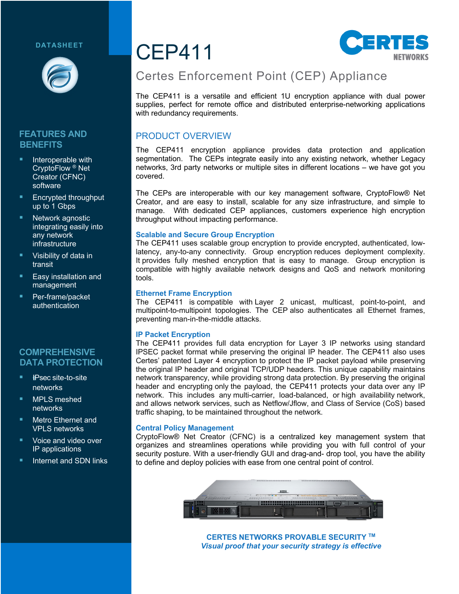#### **DATASHEET**



#### **FEATURES AND BENEFITS**

- Interoperable with CryptoFlow ® Net Creator (CFNC) software
- § Encrypted throughput up to 1 Gbps
- Network agnostic integrating easily into any network infrastructure
- **Visibility of data in** transit
- § Easy installation and management
- § Per-frame/packet authentication

#### **COMPREHENSIVE DATA PROTECTION**

- § !*I*IPsec site-to-site networks
- § MPLS meshed networks
- § Metro Ethernet and VPLS networks
- § Voice and video over IP applications
- **E** Internet and SDN links

# CEP411



# Certes Enforcement Point (CEP) Appliance

The CEP411 is a versatile and efficient 1U encryption appliance with dual power supplies, perfect for remote office and distributed enterprise-networking applications with redundancy requirements.

# PRODUCT OVERVIEW

The CEP411 encryption appliance provides data protection and application segmentation. The CEPs integrate easily into any existing network, whether Legacy networks, 3rd party networks or multiple sites in different locations – we have got you covered.

The CEPs are interoperable with our key management software, CryptoFlow® Net Creator, and are easy to install, scalable for any size infrastructure, and simple to manage. With dedicated CEP appliances, customers experience high encryption throughput without impacting performance.

#### **Scalable and Secure Group Encryption**

The CEP411 uses scalable group encryption to provide encrypted, authenticated, lowlatency, any-to-any connectivity. Group encryption reduces deployment complexity. It provides fully meshed encryption that is easy to manage. Group encryption is compatible with highly available network designs and QoS and network monitoring tools.

#### **Ethernet Frame Encryption**

The CEP411 is compatible with Layer 2 unicast, multicast, point-to-point, and multipoint-to-multipoint topologies. The CEP also authenticates all Ethernet frames, preventing man-in-the-middle attacks.

#### **IP Packet Encryption**

The CEP411 provides full data encryption for Layer 3 IP networks using standard IPSEC packet format while preserving the original IP header. The CEP411 also uses Certes' patented Layer 4 encryption to protect the IP packet payload while preserving the original IP header and original TCP/UDP headers. This unique capability maintains network transparency, while providing strong data protection. By preserving the original header and encrypting only the payload, the CEP411 protects your data over any IP network. This includes any multi-carrier, load-balanced, or high availability network, and allows network services, such as Netflow/Jflow, and Class of Service (CoS) based traffic shaping, to be maintained throughout the network.

#### **Central Policy Management**

CryptoFlow® Net Creator (CFNC) is a centralized key management system that organizes and streamlines operations while providing you with full control of your security posture. With a user-friendly GUI and drag-and- drop tool, you have the ability to define and deploy policies with ease from one central point of control.



**CERTES NETWORKS PROVABLE SECURITY TM** *Visual proof that your security strategy is effective*